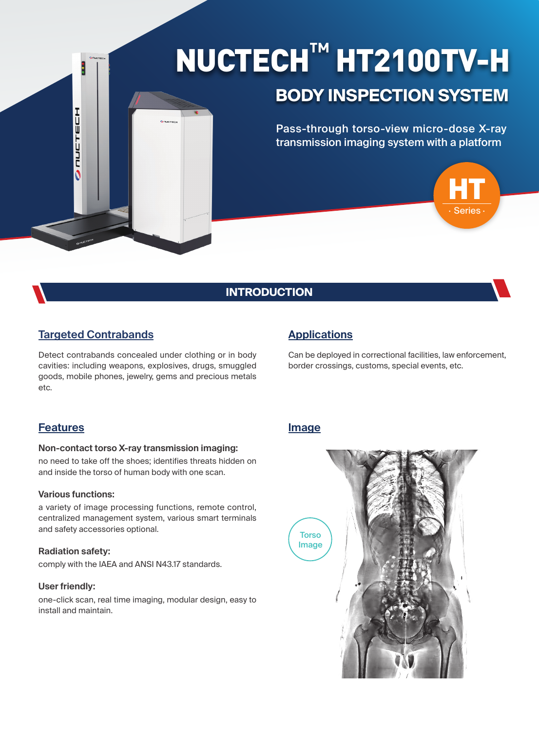# NUCTECH**™** HT2100TV-H

## **BODY INSPECTION SYSTEM**

Pass-through torso-view micro-dose X-ray transmission imaging system with a platform



## **INTRODUCTION**

## **Targeted Contrabands**

**COULTECH** 

Detect contrabands concealed under clothing or in body cavities: including weapons, explosives, drugs, smuggled goods, mobile phones, jewelry, gems and precious metals etc.

## **Applications**

Can be deployed in correctional facilities, law enforcement, border crossings, customs, special events, etc.

### **Features**

#### **Non-contact torso X-ray transmission imaging:**

no need to take off the shoes; identifies threats hidden on and inside the torso of human body with one scan.

#### **Various functions:**

a variety of image processing functions, remote control, centralized management system, various smart terminals and safety accessories optional.

#### **Radiation safety:**

comply with the IAEA and ANSI N43.17 standards.

#### **User friendly:**

one-click scan, real time imaging, modular design, easy to install and maintain.

#### **Image**